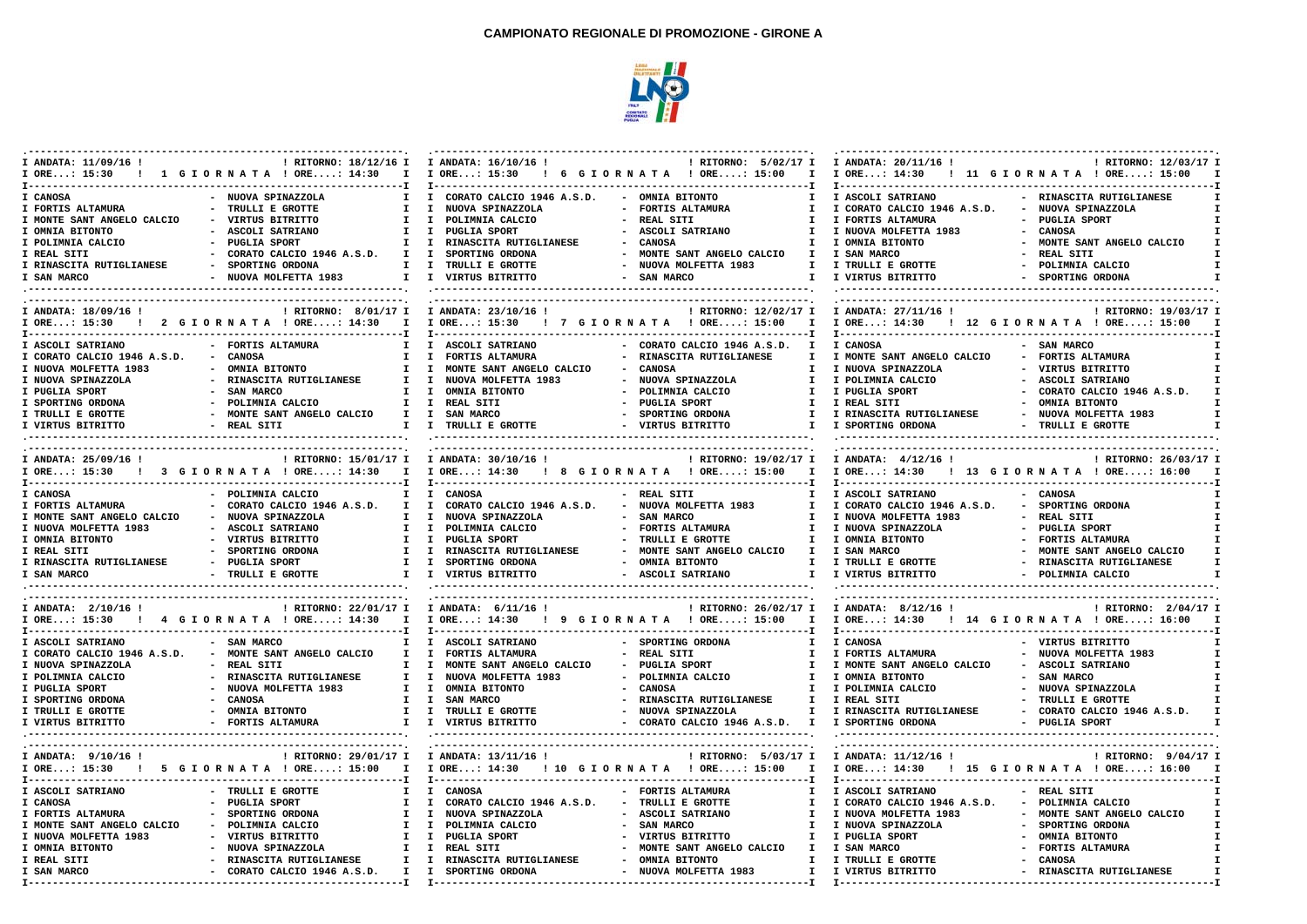

| I ANDATA: 11/09/16 !                  | ! RITORNO: 18/12/16 I I ANDATA: 16/10/16 !<br>IORE: 15:30 ! 1 GIORNATA !ORE: 14:30 I IORE: 15:30 ! 6 GIORNATA !ORE: 15:00 I IORE: 14:30 ! 11 GIORNATA !ORE: 15:00 I |                                               | ! RITORNO: 5/02/17 I                       | I ANDATA: 20/11/16 !        | ! RITORNO: 12/03/17 I                                                    |
|---------------------------------------|---------------------------------------------------------------------------------------------------------------------------------------------------------------------|-----------------------------------------------|--------------------------------------------|-----------------------------|--------------------------------------------------------------------------|
| I CANOSA                              | - NUOVA SPINAZZOLA                                                                                                                                                  | I I CORATO CALCIO 1946 A.S.D. - OMNIA BITONTO | $\mathbf{I}$                               | I ASCOLI SATRIANO           | - RINASCITA RUTIGLIANESE                                                 |
| I FORTIS ALTAMURA                     | - TRULLI E GROTTE                                                                                                                                                   | I I NUOVA SPINAZZOLA                          | - FORTIS ALTAMURA<br>$\mathbf{I}$          | I CORATO CALCIO 1946 A.S.D. | - NUOVA SPINAZZOLA                                                       |
| I MONTE SANT ANGELO CALCIO            | - VIRTUS BITRITTO<br>T                                                                                                                                              | I POLIMNIA CALCIO                             | - REAL SITI<br>T                           | I FORTIS ALTAMURA           | - PUGLIA SPORT                                                           |
| I OMNIA BITONTO                       | - ASCOLI SATRIANO                                                                                                                                                   | I I PUGLIA SPORT                              | - ASCOLI SATRIANO<br>T                     | I NUOVA MOLFETTA 1983       | - CANOSA                                                                 |
| I POLIMNIA CALCIO                     | - PUGLIA SPORT                                                                                                                                                      | I I RINASCITA RUTIGLIANESE                    | - CANOSA<br>$\mathbf{I}$                   | I OMNIA BITONTO             | - MONTE SANT ANGELO CALCIO                                               |
| I REAL SITI                           | - CORATO CALCIO 1946 A.S.D.                                                                                                                                         | I I SPORTING ORDONA                           | - MONTE SANT ANGELO CALCIO<br>$\mathbf{I}$ | I SAN MARCO                 | - REAL SITI                                                              |
| I RINASCITA RUTIGLIANESE              | - SPORTING ORDONA                                                                                                                                                   | I I TRULLI E GROTTE                           | - NUOVA MOLFETTA 1983<br>$\mathbf{I}$      | I TRULLI E GROTTE           | - POLIMNIA CALCIO                                                        |
| I SAN MARCO                           | - NUOVA MOLFETTA 1983                                                                                                                                               | I I VIRTUS BITRITTO                           | - SAN MARCO<br>T                           | I VIRTUS BITRITTO           | - SPORTING ORDONA                                                        |
|                                       |                                                                                                                                                                     |                                               |                                            |                             |                                                                          |
|                                       |                                                                                                                                                                     |                                               |                                            |                             |                                                                          |
| I ANDATA: 18/09/16 !                  | ! RITORNO: 8/01/17 I I ANDATA: 23/10/16 !                                                                                                                           |                                               | ! RITORNO: 12/02/17 I                      | I ANDATA: 27/11/16 !        | ! RITORNO: 19/03/17 I                                                    |
|                                       | I ORE: 15:30 ! 2 GIORNATA ! ORE: 14:30 I I ORE: 15:30 ! 7 GIORNATA ! ORE: 15:00 I                                                                                   |                                               |                                            |                             | I ORE: 14:30 ! 12 G I OR N A T A ! ORE: 15:00 I                          |
| I ASCOLI SATRIANO                     | - FORTIS ALTAMURA                                                                                                                                                   | I I ASCOLI SATRIANO                           | - CORATO CALCIO 1946 A.S.D. I              | I CANOSA                    | - SAN MARCO                                                              |
| I CORATO CALCIO 1946 A.S.D.           | - CANOSA                                                                                                                                                            | I I FORTIS ALTAMURA                           | - RINASCITA RUTIGLIANESE<br>T              | I MONTE SANT ANGELO CALCIO  | - FORTIS ALTAMURA                                                        |
| I NUOVA MOLFETTA 1983                 | - OMNIA BITONTO<br>$\mathbf{I}$                                                                                                                                     | I MONTE SANT ANGELO CALCIO                    | $\sim$ $-$<br>CANOSA<br>$\mathbf{r}$       | I NUOVA SPINAZZOLA          | - VIRTUS BITRITTO                                                        |
| I NUOVA SPINAZZOLA                    | - RINASCITA RUTIGLIANESE<br>$\mathbf{I}$                                                                                                                            | I NUOVA MOLFETTA 1983                         | - NUOVA SPINAZZOLA<br>$\mathbf{I}$         | I POLIMNIA CALCIO           | - ASCOLI SATRIANO                                                        |
| I PUGLIA SPORT                        | - SAN MARCO                                                                                                                                                         | I I OMNIA BITONTO                             | - POLIMNIA CALCIO<br>$\mathbf{I}$          | I PUGLIA SPORT              | - CORATO CALCIO 1946 A.S.D.                                              |
| I SPORTING ORDONA                     | - POLIMNIA CALCIO                                                                                                                                                   | I I REAL SITI                                 | - PUGLIA SPORT<br>$\mathbf{I}$             | I REAL SITI                 | - OMNIA BITONTO                                                          |
| I TRULLI E GROTTE                     | - MONTE SANT ANGELO CALCIO                                                                                                                                          | I I SAN MARCO                                 | - SPORTING ORDONA<br>$\mathbf{I}$          | I RINASCITA RUTIGLIANESE    | - NUOVA MOLFETTA 1983                                                    |
| I VIRTUS BITRITTO                     | - REAL SITI                                                                                                                                                         | I I TRULLI E GROTTE                           | - VIRTUS BITRITTO                          | I I SPORTING ORDONA         | - TRULLI E GROTTE                                                        |
|                                       |                                                                                                                                                                     |                                               |                                            |                             |                                                                          |
| I ANDATA: 25/09/16 !                  | I ORE: 15:30 ! 3 GIORNATA ! ORE: 14:30 I I ORE: 14:30 ! 8 GIORNATA ! ORE: 15:00 I                                                                                   | ! RITORNO: 15/01/17 I I ANDATA: 30/10/16 !    | ! RITORNO: 19/02/17 I                      | I ANDATA: 4/12/16 !         | ! RITORNO: 26/03/17 I<br>I ORE: 14:30 ! 13 G I OR N A T A ! ORE: 16:00 I |
| I CANOSA                              | - POLIMNIA CALCIO                                                                                                                                                   | I I CANOSA                                    | - REAL SITI<br>$\mathbf{I}$                | I ASCOLI SATRIANO           | - CANOSA                                                                 |
| I FORTIS ALTAMURA                     | - CORATO CALCIO 1946 A.S.D. I I CORATO CALCIO 1946 A.S.D.                                                                                                           |                                               | - NUOVA MOLFETTA 1983<br>$\mathbf{I}$      | I CORATO CALCIO 1946 A.S.D. | - SPORTING ORDONA                                                        |
| I MONTE SANT ANGELO CALCIO            | - NUOVA SPINAZZOLA                                                                                                                                                  | I I NUOVA SPINAZZOLA                          | - SAN MARCO<br>$\mathbf{I}$                | I NUOVA MOLFETTA 1983       | - REAL SITI                                                              |
| I NUOVA MOLFETTA 1983                 | - ASCOLI SATRIANO                                                                                                                                                   | I I POLIMNIA CALCIO                           | - FORTIS ALTAMURA<br>$\mathbf{I}$          | I NUOVA SPINAZZOLA          | - PUGLIA SPORT                                                           |
| I OMNIA BITONTO                       | - VIRTUS BITRITTO                                                                                                                                                   | I I PUGLIA SPORT                              | - TRULLI E GROTTE<br>T                     | I OMNIA BITONTO             | - FORTIS ALTAMURA                                                        |
| I REAL SITI                           | - SPORTING ORDONA                                                                                                                                                   | I I RINASCITA RUTIGLIANESE                    | - MONTE SANT ANGELO CALCIO                 | I I SAN MARCO               | - MONTE SANT ANGELO CALCIO                                               |
| I RINASCITA RUTIGLIANESE              | - PUGLIA SPORT                                                                                                                                                      | I I SPORTING ORDONA                           | - OMNIA BITONTO<br>$\mathbf{I}$            | I TRULLI E GROTTE           | - RINASCITA RUTIGLIANESE                                                 |
| I SAN MARCO                           | - TRULLI E GROTTE                                                                                                                                                   | I I VIRTUS BITRITTO                           | - ASCOLI SATRIANO                          | I I VIRTUS BITRITTO         | - POLIMNIA CALCIO                                                        |
|                                       |                                                                                                                                                                     |                                               |                                            |                             |                                                                          |
| I ANDATA: 2/10/16 !                   | ! RITORNO: 22/01/17 I I ANDATA: 6/11/16 !                                                                                                                           |                                               | ! RITORNO: 26/02/17 I                      | I ANDATA: 8/12/16 !         | ! RITORNO: 2/04/17 I                                                     |
|                                       | IORE: 15:30 ! 4 GIORNATA !ORE: 14:30 I IORE: 14:30 ! 9 GIORNATA !ORE: 15:00 I IORE: 14:30 ! 14 GIORNATA !ORE: 16:00 I                                               |                                               |                                            |                             |                                                                          |
| I ASCOLI SATRIANO                     | - SAN MARCO<br>$\mathbf{I}$                                                                                                                                         | I ASCOLI SATRIANO                             | - SPORTING ORDONA<br>$\mathbf{I}$          | I CANOSA                    | - VIRTUS BITRITTO                                                        |
| I CORATO CALCIO 1946 A.S.D.           | - MONTE SANT ANGELO CALCIO<br>$\mathbf{I}$                                                                                                                          | I FORTIS ALTAMURA                             | - REAL SITI<br>$\mathbf{I}$                | I FORTIS ALTAMURA           | - NUOVA MOLFETTA 1983                                                    |
| I NUOVA SPINAZZOLA                    | - REAL SITI<br>$\mathbf{I}$                                                                                                                                         | I MONTE SANT ANGELO CALCIO                    | - PUGLIA SPORT<br>T                        | I MONTE SANT ANGELO CALCIO  | - ASCOLI SATRIANO                                                        |
| I POLIMNIA CALCIO                     | - RINASCITA RUTIGLIANESE<br>$\mathbf{I}$                                                                                                                            | I NUOVA MOLFETTA 1983                         | - POLIMNIA CALCIO<br>$\mathbf{I}$          | I OMNIA BITONTO             | - SAN MARCO                                                              |
| I PUGLIA SPORT                        | - NUOVA MOLFETTA 1983                                                                                                                                               | I I OMNIA BITONTO                             | - CANOSA<br>T                              | I POLIMNIA CALCIO           | - NUOVA SPINAZZOLA                                                       |
| I SPORTING ORDONA                     | - CANOSA                                                                                                                                                            | I I SAN MARCO                                 | - RINASCITA RUTIGLIANESE                   | I I REAL SITI               | - TRULLI E GROTTE                                                        |
| I TRULLI E GROTTE                     | - OMNIA BITONTO                                                                                                                                                     | I I TRULLI E GROTTE                           | - NUOVA SPINAZZOLA<br>Ι.                   | I RINASCITA RUTIGLIANESE    | - CORATO CALCIO 1946 A.S.D. I                                            |
| I VIRTUS BITRITTO                     | - FORTIS ALTAMURA                                                                                                                                                   | I I VIRTUS BITRITTO                           | - CORATO CALCIO 1946 A.S.D. I              | I SPORTING ORDONA           | - PUGLIA SPORT                                                           |
|                                       |                                                                                                                                                                     |                                               |                                            |                             |                                                                          |
| I ANDATA: $9/10/16$ !<br>I ORE: 15:30 | ! RITORNO: 29/01/17 I I ANDATA: 13/11/16 !<br>! 5 GIORNATA ! ORE: 15:00 I I ORE: 14:30 ! 10 GIORNATA ! ORE: 15:00 I                                                 |                                               | ! RITORNO: 5/03/17 I                       | I ANDATA: 11/12/16 !        | ! RITORNO: 9/04/17 I<br>I ORE: 14:30 ! 15 G I O R N A T A ! ORE: 16:00 I |
| I ASCOLI SATRIANO                     | - TRULLI E GROTTE                                                                                                                                                   | I I CANOSA                                    | $\mathbf{I}$<br>- FORTIS ALTAMURA          | I ASCOLI SATRIANO           | - REAL SITI                                                              |
| I CANOSA                              | - PUGLIA SPORT                                                                                                                                                      | I I CORATO CALCIO 1946 A.S.D.                 | - TRULLI E GROTTE<br>$\mathbf{I}$          | I CORATO CALCIO 1946 A.S.D. | - POLIMNIA CALCIO                                                        |
| I FORTIS ALTAMURA                     | - SPORTING ORDONA                                                                                                                                                   | I I NUOVA SPINAZZOLA                          | - ASCOLI SATRIANO<br>$\mathbf{I}$          | I NUOVA MOLFETTA 1983       | - MONTE SANT ANGELO CALCIO                                               |
| I MONTE SANT ANGELO CALCIO            | - POLIMNIA CALCIO<br>$\mathbf{I}$                                                                                                                                   | I POLIMNIA CALCIO                             | $\sim$<br>SAN MARCO<br>I.                  | I NUOVA SPINAZZOLA          | - SPORTING ORDONA                                                        |
| I NUOVA MOLFETTA 1983                 | - VIRTUS BITRITTO                                                                                                                                                   | I I PUGLIA SPORT                              | $\mathbf{I}$<br>- VIRTUS BITRITTO          | I PUGLIA SPORT              | - OMNIA BITONTO                                                          |
| I OMNIA BITONTO                       | - NUOVA SPINAZZOLA                                                                                                                                                  | I I REAL SITI                                 | - MONTE SANT ANGELO CALCIO I I SAN MARCO   |                             | - FORTIS ALTAMURA                                                        |
| I REAL SITI                           | - RINASCITA RUTIGLIANESE                                                                                                                                            | I I RINASCITA RUTIGLIANESE                    | - OMNIA BITONTO<br>I.                      | I TRULLI E GROTTE           | - CANOSA                                                                 |
| I SAN MARCO                           | - CORATO CALCIO 1946 A.S.D.                                                                                                                                         | I I SPORTING ORDONA                           | - NUOVA MOLFETTA 1983<br>T                 | I VIRTUS BITRITTO           | - RINASCITA RUTIGLIANESE                                                 |
|                                       |                                                                                                                                                                     |                                               |                                            |                             |                                                                          |
|                                       |                                                                                                                                                                     |                                               |                                            |                             |                                                                          |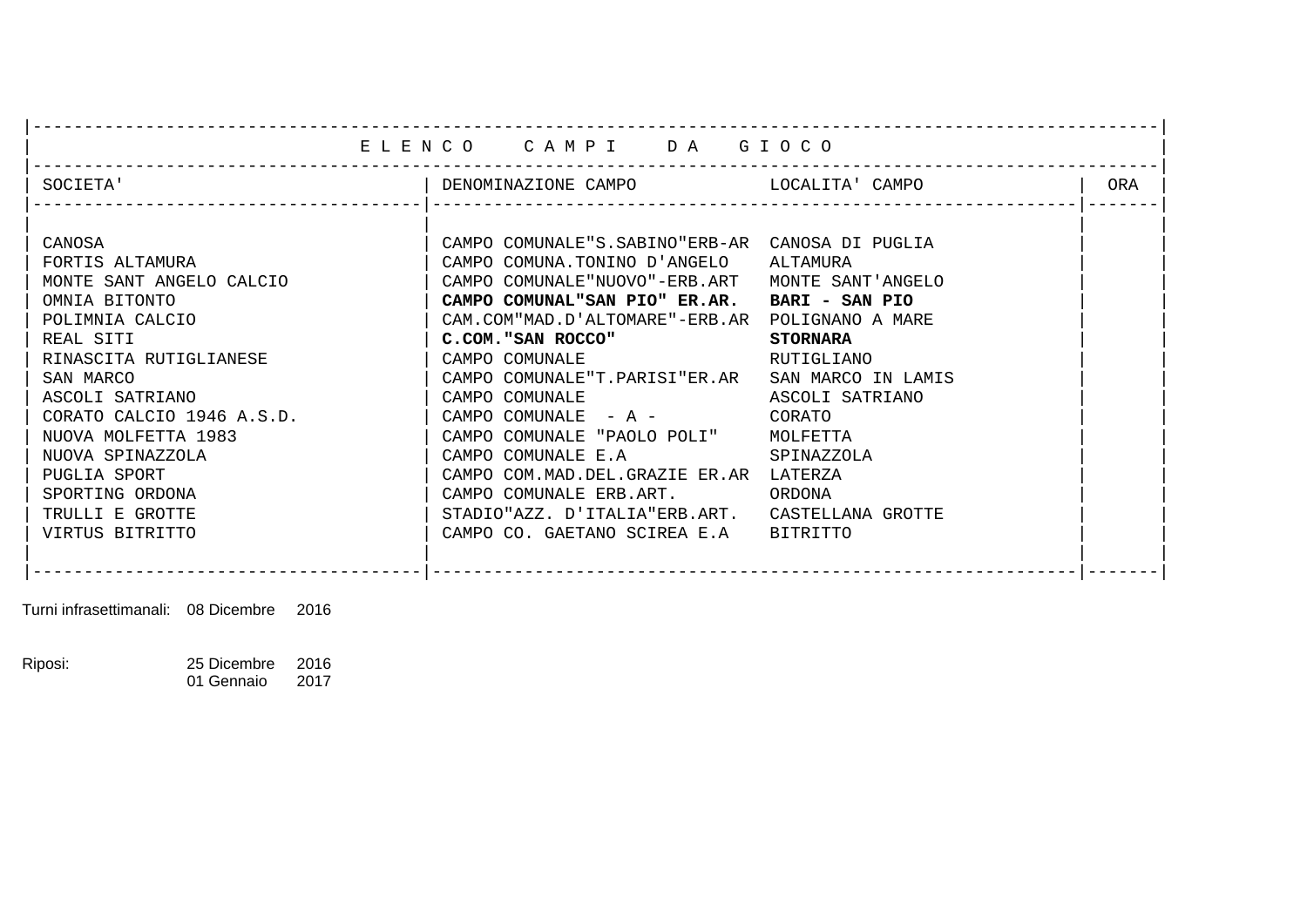|                           | ELENCO CAMPI DA GIOCO                           |                    |     |
|---------------------------|-------------------------------------------------|--------------------|-----|
|                           |                                                 |                    |     |
| SOCIETA'                  |                                                 |                    | ORA |
|                           |                                                 |                    |     |
| CANOSA                    | CAMPO COMUNALE"S.SABINO"ERB-AR CANOSA DI PUGLIA |                    |     |
| FORTIS ALTAMURA           | CAMPO COMUNA.TONINO D'ANGELO ALTAMURA           |                    |     |
| MONTE SANT ANGELO CALCIO  | CAMPO COMUNALE "NUOVO"-ERB.ART                  | MONTE SANT'ANGELO  |     |
| OMNIA BITONTO             | CAMPO COMUNAL"SAN PIO" ER.AR. BARI - SAN PIO    |                    |     |
| POLIMNIA CALCIO           | CAM.COM"MAD.D'ALTOMARE"-ERB.AR POLIGNANO A MARE |                    |     |
| REAL SITI                 | C.COM. "SAN ROCCO"                              | <b>STORNARA</b>    |     |
| RINASCITA RUTIGLIANESE    | CAMPO COMUNALE                                  | RUTIGLIANO         |     |
| SAN MARCO                 | CAMPO COMUNALE"T.PARISI"ER.AR                   | SAN MARCO IN LAMIS |     |
| ASCOLI SATRIANO           | CAMPO COMUNALE                                  | ASCOLI SATRIANO    |     |
| CORATO CALCIO 1946 A.S.D. | CAMPO COMUNALE - A -                            | CORATO             |     |
| NUOVA MOLFETTA 1983       | CAMPO COMUNALE "PAOLO POLI"                     | MOLFETTA           |     |
| NUOVA SPINAZZOLA          | CAMPO COMUNALE E.A                              | SPINAZZOLA         |     |
| PUGLIA SPORT              | CAMPO COM.MAD.DEL.GRAZIE ER.AR LATERZA          |                    |     |
| SPORTING ORDONA           | CAMPO COMUNALE ERB.ART.                         | ORDONA             |     |
| TRULLI E GROTTE           | STADIO"AZZ. D'ITALIA"ERB.ART.                   | CASTELLANA GROTTE  |     |
| VIRTUS BITRITTO           | CAMPO CO. GAETANO SCIREA E.A                    | BITRITTO           |     |
|                           |                                                 |                    |     |
|                           |                                                 |                    |     |

Turni infrasettimanali: 08 Dicembre 2016

Riposi: 25 Dicembre 2016<br>01 Gennaio 2017 01 Gennaio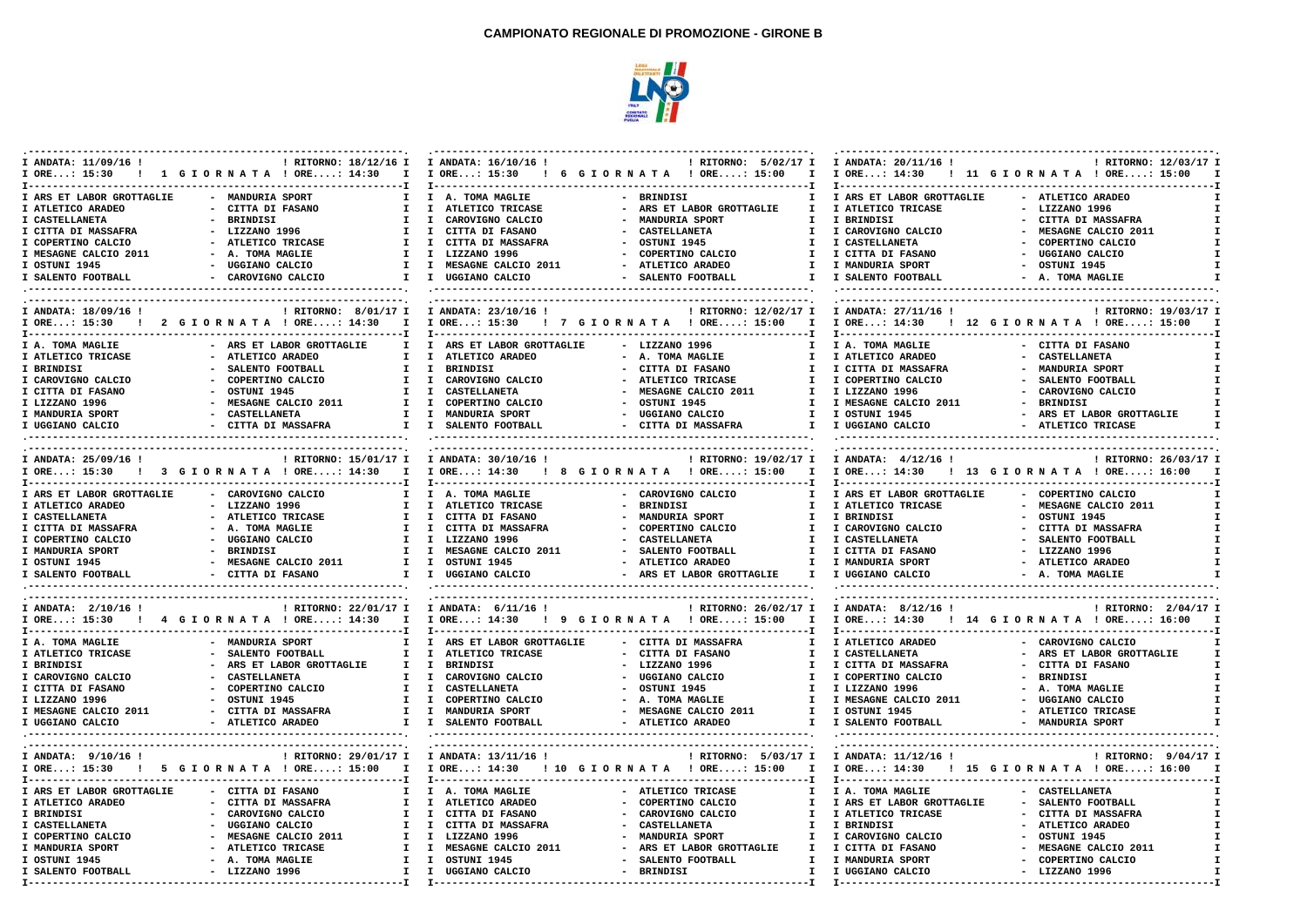

| I ANDATA: 11/09/16 !<br>I ORE: 15:30   | ! RITORNO: 18/12/16 I I ANDATA: 16/10/16 !<br>! 1 GIORNATA ! ORE: 14:30                                    | I I ORE: 15:30 ! 6 G I OR N A T A ! ORE: 15:00  | ! RITORNO: 5/02/17 I                                                            | I ANDATA: 20/11/16 !<br>I I ORE: 14:30                            | ! RITORNO: 12/03/17 I<br>! 11 GIORNATA ! ORE: 15:00 |
|----------------------------------------|------------------------------------------------------------------------------------------------------------|-------------------------------------------------|---------------------------------------------------------------------------------|-------------------------------------------------------------------|-----------------------------------------------------|
|                                        |                                                                                                            |                                                 |                                                                                 |                                                                   |                                                     |
| I ARS ET LABOR GROTTAGLIE              | - MANDURIA SPORT<br>$\mathbf{I}$                                                                           | I A. TOMA MAGLIE                                | - BRINDISI<br>$\mathbf{I}$                                                      | I ARS ET LABOR GROTTAGLIE                                         | - ATLETICO ARADEO                                   |
| I ATLETICO ARADEO                      | - CITTA DI FASANO<br>$\mathbf{I}$                                                                          | I ATLETICO TRICASE                              | - ARS ET LABOR GROTTAGLIE<br>$\mathbf{I}$<br>$\sim$                             | I ATLETICO TRICASE                                                | $-$ LIZZANO 1996                                    |
| I CASTELLANETA                         | - BRINDISI<br>T                                                                                            | I CAROVIGNO CALCIO                              | MANDURIA SPORT<br>T                                                             | I BRINDISI                                                        | - CITTA DI MASSAFRA<br>- MESAGNE CALCIO 2011        |
| I CITTA DI MASSAFRA                    | - LIZZANO 1996<br>$\mathbf{I}$<br>$\mathbf{I}$                                                             | $\mathbf{I}$<br>CITTA DI FASANO                 | <b>CASTELLANETA</b><br>$\mathbf{I}$<br>$\overline{\phantom{a}}$<br>$\mathbf{I}$ | I CAROVIGNO CALCIO                                                |                                                     |
| I COPERTINO CALCIO                     | - ATLETICO TRICASE<br>T                                                                                    | I CITTA DI MASSAFRA<br>I LIZZANO 1996           | - OSTUNI 1945<br>$\mathbf{I}$                                                   | I CASTELLANETA                                                    | - COPERTINO CALCIO                                  |
| I MESAGNE CALCIO 2011<br>I OSTUNI 1945 | - A. TOMA MAGLIE<br>- UGGIANO CALCIO<br>$\mathbf{I}$                                                       | I MESAGNE CALCIO 2011                           | - COPERTINO CALCIO<br>- ATLETICO ARADEO<br>$\mathbf{I}$                         | I CITTA DI FASANO<br>I MANDURIA SPORT                             | - UGGIANO CALCIO<br>$-$ OSTUNI 1945                 |
| I SALENTO FOOTBALL                     | - CAROVIGNO CALCIO                                                                                         | I I UGGIANO CALCIO                              | - SALENTO FOOTBALL<br>$\mathbf{I}$                                              | I SALENTO FOOTBALL                                                | - A. TOMA MAGLIE                                    |
|                                        |                                                                                                            |                                                 |                                                                                 |                                                                   |                                                     |
|                                        |                                                                                                            |                                                 |                                                                                 |                                                                   |                                                     |
| I ANDATA: 18/09/16 !                   | ! RITORNO: 8/01/17 I I ANDATA: 23/10/16 !<br>I ORE: 15:30 ! 2 G I O R N A T A ! ORE: 14:30<br>$\mathbf{I}$ | I ORE: 15:30 ! 7 G I OR N A T A ! ORE: 15:00 I  | ! RITORNO: 12/02/17 I                                                           | I ANDATA: 27/11/16 !<br>I ORE: 14:30 ! 12 G I ORNATA ! ORE: 15:00 | ! RITORNO: 19/03/17 I                               |
|                                        |                                                                                                            |                                                 |                                                                                 |                                                                   |                                                     |
| I A. TOMA MAGLIE                       | - ARS ET LABOR GROTTAGLIE<br>T                                                                             | I ARS ET LABOR GROTTAGLIE                       | $-LIZZANO$ 1996<br>$\mathbf{I}$                                                 | I A. TOMA MAGLIE                                                  | - CITTA DI FASANO                                   |
| I ATLETICO TRICASE                     | - ATLETICO ARADEO<br>$\mathbf{I}$                                                                          | I ATLETICO ARADEO                               | - A. TOMA MAGLIE<br>$\mathbf{I}$                                                | I ATLETICO ARADEO                                                 | - CASTELLANETA                                      |
| I BRINDISI                             | SALENTO FOOTBALL<br>$\mathbf{I}$                                                                           | $\mathbf{I}$<br>BRINDISI                        | - CITTA DI FASANO<br>T                                                          | I CITTA DI MASSAFRA                                               | - MANDURIA SPORT                                    |
| I CAROVIGNO CALCIO                     | COPERTINO CALCIO<br>$\mathbf{I}$                                                                           | I CAROVIGNO CALCIO                              | ATLETICO TRICASE<br>$\mathbf{I}$                                                | I COPERTINO CALCIO                                                | - SALENTO FOOTBALL                                  |
| I CITTA DI FASANO                      | - OSTUNI 1945<br>$\mathbf{I}$                                                                              | I CASTELLANETA                                  | - MESAGNE CALCIO 2011<br>$\mathbf{I}$                                           | I LIZZANO 1996                                                    | - CAROVIGNO CALCIO                                  |
| I LIZZANO 1996                         | - MESAGNE CALCIO 2011<br>T                                                                                 | I COPERTINO CALCIO                              | - OSTUNI 1945<br>T                                                              | I MESAGNE CALCIO 2011                                             | - BRINDISI                                          |
| I MANDURIA SPORT                       | - CASTELLANETA                                                                                             | I I MANDURIA SPORT                              | - UGGIANO CALCIO<br>$\mathbf{I}$                                                | I OSTUNI 1945                                                     | - ARS ET LABOR GROTTAGLIE                           |
| I UGGIANO CALCIO                       | - CITTA DI MASSAFRA                                                                                        | I I SALENTO FOOTBALL                            | - CITTA DI MASSAFRA                                                             | I I UGGIANO CALCIO                                                | - ATLETICO TRICASE                                  |
|                                        |                                                                                                            |                                                 |                                                                                 |                                                                   |                                                     |
|                                        | ! RITORNO: 15/01/17 I I ANDATA: 30/10/16 !                                                                 |                                                 | ! RITORNO: 19/02/17 I                                                           | I ANDATA: 4/12/16 !                                               | ! RITORNO: 26/03/17 I                               |
| I ANDATA: 25/09/16 !<br>I ORE: 15:30   | ! 3 GIORNATA ! ORE: 14:30<br>$\mathbf{I}$                                                                  | I ORE: 14:30                                    | ! 8 GIORNATA ! ORE: 15:00<br>$\mathbf{I}$                                       | I ORE: 14:30                                                      | ! 13 GIORNATA ! ORE: 16:00                          |
|                                        |                                                                                                            |                                                 |                                                                                 |                                                                   |                                                     |
| I ARS ET LABOR GROTTAGLIE              | - CAROVIGNO CALCIO<br>$\mathbf{I}$                                                                         | I A. TOMA MAGLIE                                | - CAROVIGNO CALCIO                                                              | I ARS ET LABOR GROTTAGLIE                                         | - COPERTINO CALCIO                                  |
| I ATLETICO ARADEO                      | - LIZZANO 1996<br>$\mathbf{I}$                                                                             | I ATLETICO TRICASE                              | - BRINDISI<br>$\mathbf{I}$                                                      | I ATLETICO TRICASE                                                | - MESAGNE CALCIO 2011                               |
| I CASTELLANETA                         | - ATLETICO TRICASE                                                                                         | I I CITTA DI FASANO                             | - MANDURIA SPORT<br>$\mathbf{I}$                                                | I BRINDISI                                                        | - OSTUNI 1945                                       |
| I CITTA DI MASSAFRA                    | - A. TOMA MAGLIE<br>$\mathbf{I}$                                                                           | I CITTA DI MASSAFRA                             | $\mathbf{I}$<br>COPERTINO CALCIO                                                | I CAROVIGNO CALCIO                                                | - CITTA DI MASSAFRA                                 |
| I COPERTINO CALCIO                     | - UGGIANO CALCIO<br>$\mathbf{I}$                                                                           | I LIZZANO 1996                                  | - CASTELLANETA<br>$\mathbf{I}$                                                  | I CASTELLANETA                                                    | - SALENTO FOOTBALL                                  |
| I MANDURIA SPORT                       | - BRINDISI<br>T                                                                                            | I MESAGNE CALCIO 2011                           | - SALENTO FOOTBALL<br>T                                                         | I CITTA DI FASANO                                                 | $-LIZZANO$ 1996                                     |
| I OSTUNI 1945                          | - MESAGNE CALCIO 2011                                                                                      | I I OSTUNI 1945                                 | - ATLETICO ARADEO<br>$\mathbf{I}$                                               | I MANDURIA SPORT                                                  | - ATLETICO ARADEO                                   |
| I SALENTO FOOTBALL                     | - CITTA DI FASANO                                                                                          | I I UGGIANO CALCIO                              | - ARS ET LABOR GROTTAGLIE<br>$\mathbf{I}$                                       | I UGGIANO CALCIO                                                  | - A. TOMA MAGLIE                                    |
|                                        |                                                                                                            |                                                 |                                                                                 |                                                                   |                                                     |
| I ANDATA: 2/10/16 !                    | ! RITORNO: 22/01/17 I I ANDATA: 6/11/16 !                                                                  |                                                 | ! RITORNO: 26/02/17 I                                                           | I ANDATA: 8/12/16 !                                               | ! RITORNO: 2/04/17 I                                |
|                                        | I ORE: 15:30   4 G I OR N A T A 1 ORE: 14:30<br>$\mathbf{I}$                                               | I ORE: 14:30 ! 9 G I O R N A T A ! ORE: 15:00   | $\mathbf{I}$                                                                    | I ORE: 14:30 ! 14 G I OR N A T A ! ORE: 16:00                     |                                                     |
| I A. TOMA MAGLIE                       | - MANDURIA SPORT<br>$\mathbf{I}$                                                                           | I ARS ET LABOR GROTTAGLIE                       | - CITTA DI MASSAFRA<br>$\mathbf{I}$                                             | I ATLETICO ARADEO                                                 | - CAROVIGNO CALCIO                                  |
| I ATLETICO TRICASE                     | - SALENTO FOOTBALL<br>$\mathbf{I}$                                                                         | I ATLETICO TRICASE                              | - CITTA DI FASANO<br>$\mathbf{I}$                                               | I CASTELLANETA                                                    | - ARS ET LABOR GROTTAGLIE                           |
| I BRINDISI                             | - ARS ET LABOR GROTTAGLIE<br>$\mathbf{I}$                                                                  | I BRINDISI                                      | $\sim$<br>LIZZANO 1996<br>$\mathbf{I}$                                          | I CITTA DI MASSAFRA                                               | - CITTA DI FASANO                                   |
| I CAROVIGNO CALCIO                     | <b>CASTELLANETA</b><br>T                                                                                   | I CAROVIGNO CALCIO                              | UGGIANO CALCIO<br>$\mathbf{I}$<br>$\sim$                                        | I COPERTINO CALCIO                                                | - BRINDISI                                          |
| I CITTA DI FASANO                      | - COPERTINO CALCIO<br>$\mathbf{I}$                                                                         | I CASTELLANETA                                  | $-$ OSTUNI 1945<br>T                                                            | I LIZZANO 1996                                                    | - A. TOMA MAGLIE                                    |
| I LIZZANO 1996                         | - OSTUNI 1945<br>I.                                                                                        | I COPERTINO CALCIO                              | - A. TOMA MAGLIE<br>$\mathbf{I}$                                                | I MESAGNE CALCIO 2011                                             | - UGGIANO CALCIO                                    |
| I MESAGNE CALCIO 2011                  | - CITTA DI MASSAFRA                                                                                        | I I MANDURIA SPORT                              | - MESAGNE CALCIO 2011<br>$\mathbf{I}$                                           | I OSTUNI 1945                                                     | - ATLETICO TRICASE                                  |
| I UGGIANO CALCIO                       | - ATLETICO ARADEO                                                                                          | I I SALENTO FOOTBALL                            | - ATLETICO ARADEO<br>$\mathbf{I}$                                               | I SALENTO FOOTBALL                                                | $\mathbf{I}$<br>- MANDURIA SPORT                    |
|                                        |                                                                                                            |                                                 |                                                                                 |                                                                   |                                                     |
| I ANDATA: $9/10/16$ !                  | ! RITORNO: 29/01/17 I I ANDATA: 13/11/16 !                                                                 |                                                 | ! RITORNO: 5/03/17 I                                                            | I ANDATA: 11/12/16 !                                              | ! RITORNO: 9/04/17 I                                |
|                                        | I ORE: 15:30 ! 5 G I ORNATA ! ORE: 15:00                                                                   | I I ORE: 14:30 ! 10 G I OR N A T A ! ORE: 15:00 | $\mathbf{I}$                                                                    | I ORE: 14:30 ! 15 G I O R N A T A ! ORE: 16:00                    |                                                     |
|                                        |                                                                                                            |                                                 |                                                                                 |                                                                   |                                                     |
| I ARS ET LABOR GROTTAGLIE              | $\mathbf{I}$<br>- CITTA DI FASANO                                                                          | I A. TOMA MAGLIE                                | - ATLETICO TRICASE<br>$\mathbf{I}$                                              | I A. TOMA MAGLIE                                                  | - CASTELLANETA                                      |
| I ATLETICO ARADEO                      | - CITTA DI MASSAFRA<br>$\mathbf{I}$                                                                        | I ATLETICO ARADEO                               | - COPERTINO CALCIO<br>T                                                         | I ARS ET LABOR GROTTAGLIE                                         | - SALENTO FOOTBALL                                  |
| I BRINDISI                             | - CAROVIGNO CALCIO                                                                                         | I I CITTA DI FASANO                             | $\sim$<br>CAROVIGNO CALCIO<br>$\mathbf{I}$                                      | I ATLETICO TRICASE                                                | - CITTA DI MASSAFRA                                 |
| I CASTELLANETA                         | - UGGIANO CALCIO                                                                                           | I I CITTA DI MASSAFRA                           | $\overline{a}$<br><b>CASTELLANETA</b><br>$\mathbf{I}$                           | I BRINDISI                                                        | - ATLETICO ARADEO                                   |
| I COPERTINO CALCIO                     | - MESAGNE CALCIO 2011<br>$\mathbf{I}$                                                                      | I LIZZANO 1996                                  | MANDURIA SPORT<br>T                                                             | I CAROVIGNO CALCIO                                                | - OSTUNI 1945                                       |
| I MANDURIA SPORT                       | - ATLETICO TRICASE<br>$\mathbf{I}$                                                                         | I MESAGNE CALCIO 2011                           | ARS ET LABOR GROTTAGLIE<br>$\mathbf{I}$                                         | I CITTA DI FASANO                                                 | - MESAGNE CALCIO 2011                               |
| I OSTUNI 1945                          | - A. TOMA MAGLIE                                                                                           | I I OSTUNI 1945                                 | SALENTO FOOTBALL<br>$\mathbf{I}$                                                | I MANDURIA SPORT                                                  | - COPERTINO CALCIO<br>$\mathbf{T}$                  |
| I SALENTO FOOTBALL                     | $-$ LIZZANO 1996                                                                                           | I I UGGIANO CALCIO                              | - BRINDISI<br>$\mathbf{I}$                                                      | I UGGIANO CALCIO                                                  | $-$ LIZZANO 1996                                    |
|                                        |                                                                                                            |                                                 |                                                                                 |                                                                   |                                                     |